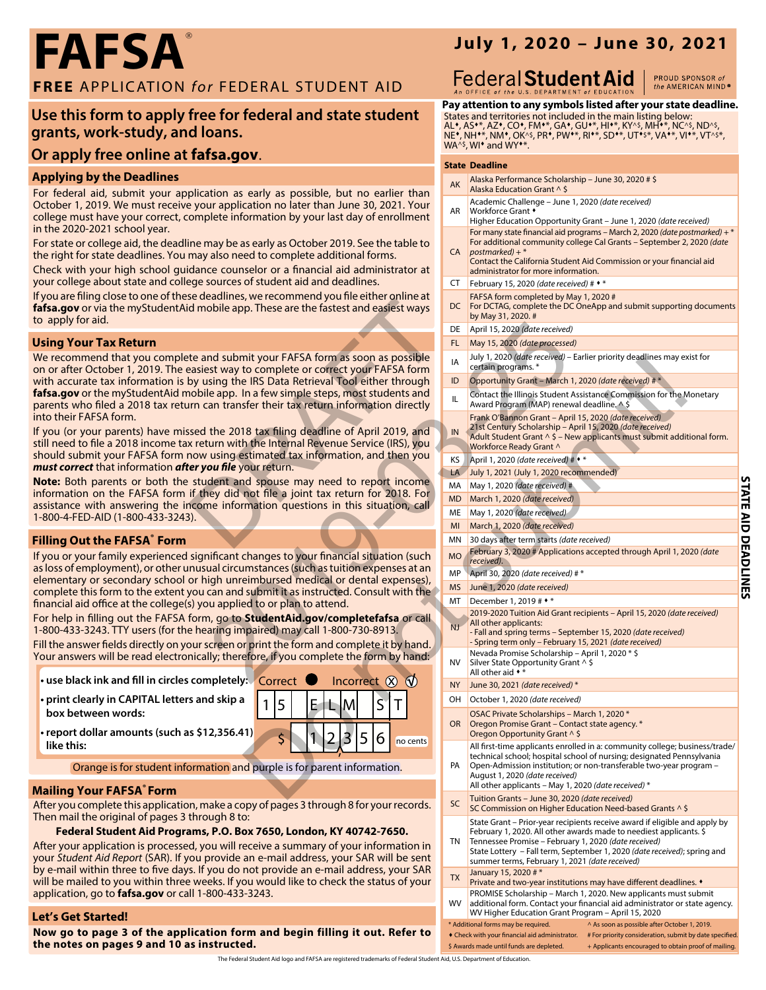# **FAFSA FREE** APPLICATION *for* FEDERAL STUDENT AID

# **Use this form to apply free for federal and state student grants, work-study, and loans.**

# **Or apply free online at [fafsa.gov](https://fafsa.ed.gov)**.

# **Applying by the Deadlines**

For federal aid, submit your application as early as possible, but no earlier than October 1, 2019. We must receive your application no later than June 30, 2021. Your college must have your correct, complete information by your last day of enrollment in the 2020-2021 school year.

For state or college aid, the deadline may be as early as October 2019. See the table to the right for state deadlines. You may also need to complete additional forms.

Check with your high school guidance counselor or a financial aid administrator at your college about state and college sources of student aid and deadlines.

If you are filing close to one of these deadlines, we recommend you file either online at **[fafsa.gov](https://fafsa.ed.gov)** or via the myStudentAid mobile app. These are the fastest and easiest ways to apply for aid.

# **Using Your Tax Return**

We recommend that you complete and submit your FAFSA form as soon as possible on or after October 1, 2019. The easiest way to complete or correct your FAFSA form with accurate tax information is by using the IRS Data Retrieval Tool either through **[fafsa.gov](https://fafsa.ed.gov)** or the myStudentAid mobile app. In a few simple steps, most students and parents who filed a 2018 tax return can transfer their tax return information directly into their FAFSA form. Example app. These are the fastest and easiest ways<br>the and submit your FAFSA form as soon as possible<br>te and submit your FAFSA form as soon as possible<br>assiest way to complete or correct your FAFSA form<br>by using the IRS D and submit your FAFSA form as soon as possible<br>
Election of the May 15, [20](https://StudentAid.ed.gov/completefafsa)20 (date received)<br>
2019-02:00 (date received)<br>
2019-02:00 (date received)<br>
2019-02:00 (date metric and the US Data Retire information directly<br>
201

If you (or your parents) have missed the 2018 tax filing deadline of April 2019, and still need to file a 2018 income tax return with the Internal Revenue Service (IRS), you should submit your FAFSA form now using estimated tax information, and then you *must correct* that information *after you file* your return.

**Note:** Both parents or both the student and spouse may need to report income information on the FAFSA form if they did not file a joint tax return for 2018. For assistance with answering the income information questions in this situation, call 1-800-4-FED-AID (1-800-433-3243).

# **Filling Out the FAFSA® Form**

If you or your family experienced significant changes to your financial situation (such as loss of employment), or other unusual circumstances (such as tuition expenses at an elementary or secondary school or high unreimbursed medical or dental expenses), complete this form to the extent you can and submit it as instructed. Consult with the financial aid office at the college(s) you applied to or plan to attend.

For help in filling out the FAFSA form, go to **StudentAid.gov/completefafsa** or call 1-800-433-3243. TTY users (for the hearing impaired) may call 1-800-730-8913.

Fill the answer fields directly on your screen or print the form and complete it by hand. Your answers will be read electronically; therefore, if you complete the form by hand:

**,** Incorrect **<b>** $\mathbf{\hat{x}}$  **√**  $1|5$  E L M  $S$  T  $5 \times 1 \times 3 \times 5$  6 no cents • use black ink and fill in circles completely: Correct **• print clearly in CAPITAL letters and skip a box between words: • report dollar amounts (such as \$12,356.41) like this:** Int View TAFA form as soon as possible profit y dealing that the priority dealine may be left Data Retrieval Tool electron as the method electron and the method in the there is Data Retrieval To the Control of the interna

Orange is for student information and purple is for parent information.

# **Mailing Your FAFSA® Form**

After you complete this application, make a copy of pages 3 through 8 for your records. Then mail the original of pages 3 through 8 to:

# **Federal Student Aid Programs, P.O. Box 7650, London, KY 40742-7650.**

After your application is processed, you will receive a summary of your information in your *Student Aid Report* (SAR). If you provide an e-mail address, your SAR will be sent by e-mail within three to five days. If you do not provide an e-mail address, your SAR will be mailed to you within three weeks. If you would like to check the status of your application, go to **[fafsa.gov](https://fafsa.ed.gov)** or call 1-800-433-3243.

# **Let's Get Started!**

**Now [go to page 3](#page-2-0) of the application form and begin filling it out. Refer to the notes on pages 9 and 10 as instructed.**

# **July 1, 2020 – June 30, 2021**

# **Federal Student Aid**

PROUD SPONSOR of the AMERICAN MIND®

# **Pay attention to any symbols listed after your state deadline.**

States and territories not included in the main listing below:<br>AL\*, AS\*\*, AZ\*, CO\*, FM\*\*, GA\*, GU\*\*, HI\*\*, KY^\$, MH\*\*, NC^\$, ND^\$,<br>NE\*, NH\*\*, NM\*, OK^\$, PR\*, PW\*\*, RI\*\*, SD\*\*, UT\*\$\*, VA\*\*, VI\*\*, VT^\$\*,  $WA^{\wedge}$ \$, WI $\bullet$  and WY $\bullet$ \*.

#### **State Deadline**

- AK Alaska Performance Scholarship June 30, 2020 # \$ Alaska Education Grant ^ \$
	- Academic Challenge June 1, 2020 *(date received)* Workforce Grant
- AR Higher Education Opportunity Grant – June 1, 2020 *(date received)* For many state financial aid programs – March 2, 2020 *(date postmarked)* + \* For additional community college Cal Grants – September 2, 2020 *(date*
- CA postmarked) + \* Contact the California Student Aid Commission or your financial aid administrator for more information.
- CT February 15, 2020 *(date received)* # \*
- FAFSA form completed by May 1, 2020 #
- DC For DCTAG, complete the DC OneApp and submit supporting documents by May 31, 2020. #
- DE April 15, 2020 *(date received)*
- FL May 15, 2020 *(date processed)*
- IA July 1, 2020 *(date received)*  Earlier priority deadlines may exist for certain programs. \*
- ID Opportunity Grant March 1, 2020 *(date received)* # \*
- **IL Contact the Illinois Student Assistance Commission for the Monetary** Award Program (MAP) renewal deadline. ^ \$
	- Frank O'Bannon Grant April 15, 2020 *(date received)*
- IN 21st Century Scholarship – April 15, 2020 *(date received)* Adult Student Grant ^ \$ – New applicants must submit additional form. Workforce Ready Grant ^
- KS April 1, 2020 *(date received)* # \*
- LA July 1, 2021 (July 1, 2020 recommended)
- MA May 1, 2020 *(date received)* #
- MD March 1, 2020 *(date received)*
- ME May 1, 2020 *(date received)*
- MI March 1, 2020 *(date received)*
- MN 30 days after term starts *(date received)*
- MO February 3, 2020 # Applications accepted through April 1, 2020 *(date received)*.
- MP April 30, 2020 *(date received)* # \*
- MS June 1, 2020 *(date received)*
- MT  $\overline{D}$  December 1, 2019 #  $\overline{P}$
- NJ 2019-2020 Tuition Aid Grant recipients – April 15, 2020 *(date received)*  All other applicants:
- Fall and spring terms September 15, 2020 *(date received)* - Spring term only – February 15, 2021 *(date received)* Nevada Promise Scholarship – April 1, 2020 \* \$
- NV Silver State Opportunity Grant ^ \$
- All other aid  $\dot{\bullet}$
- NY June 30, 2021 *(date received)* \*
- OH October 1, 2020 *(date received)*
- OR OSAC Private Scholarships – March 1, 2020 \* Oregon Promise Grant – Contact state agency. \* Oregon Opportunity Grant ^ \$
- PA All first-time applicants enrolled in a: community college; business/trade/ technical school; hospital school of nursing; designated Pennsylvania
- Open-Admission institution; or non-transferable two-year program August 1, 2020 *(date received)* All other applicants – May 1, 2020 *(date received)* \*
- 
- SC Tuition Grants June 30, 2020 *(date received)* SC Commission on Higher Education Need-based Grants ^ \$
- TN State Grant – Prior-year recipients receive award if eligible and apply by February 1, 2020. All other awards made to neediest applicants. \$ Tennessee Promise – February 1, 2020 *(date received)*
- State Lottery Fall term, September 1, 2020 *(date received)*; spring and summer terms, February 1, 2021 *(date received)* TX January 15, 2020 # \*
- Private and two-year institutions may have different deadlines.  $\bullet$
- WV PROMISE Scholarship – March 1, 2020. New applicants must submit additional form. Contact your financial aid administrator or state agency.
- WV Higher Education Grant Program April 15, 2020 \* Additional forms may be required. ^ As soon as possible after October 1, 2019.
- Check with your financial aid administrator. # For priority consideration, submit by date specified. \$ Awards made until funds are depleted. + Applicants encouraged to obtain proof of mailing.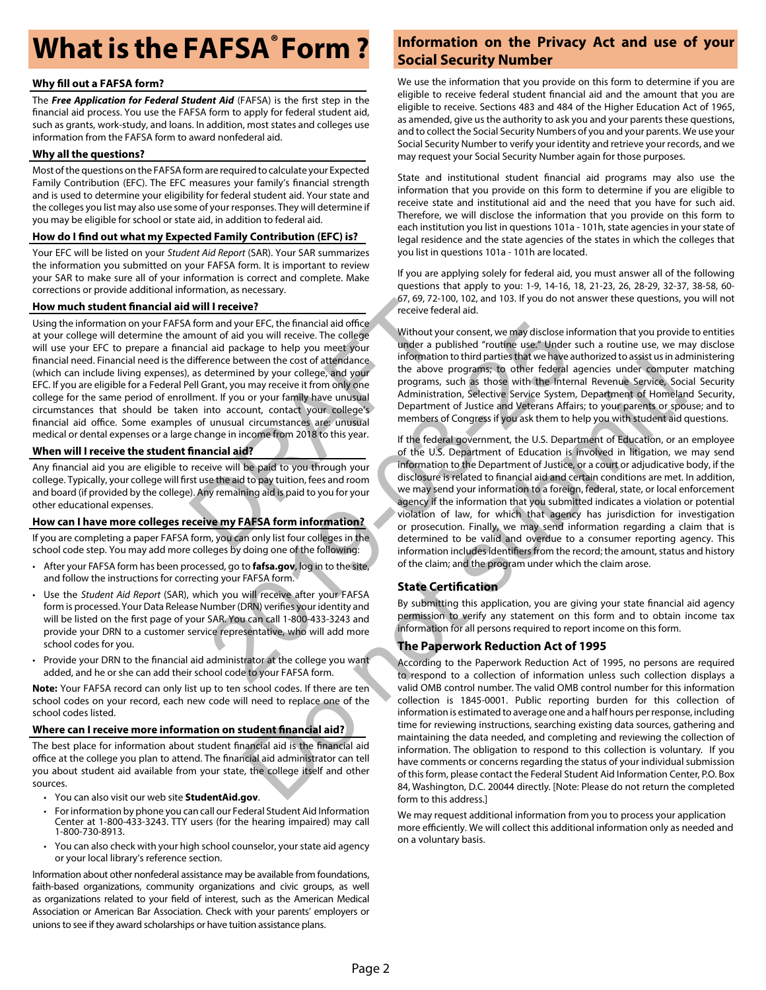# **What is the FAFSA® Form ?**

# **Why fill out a FAFSA form?**

The *Free Application for Federal Student Aid* (FAFSA) is the first step in the financial aid process. You use the FAFSA form to apply for federal student aid, such as grants, work-study, and loans. In addition, most states and colleges use information from the FAFSA form to award nonfederal aid.

# **Why all the questions?**

Most of the questions on the FAFSA form are required to calculate your Expected Family Contribution (EFC). The EFC measures your family's financial strength and is used to determine your eligibility for federal student aid. Your state and the colleges you list may also use some of your responses. They will determine if you may be eligible for school or state aid, in addition to federal aid.

# **How do I find out what my Expected Family Contribution (EFC) is?**

Your EFC will be listed on your *Student Aid Report* (SAR). Your SAR summarizes the information you submitted on your FAFSA form. It is important to review your SAR to make sure all of your information is correct and complete. Make corrections or provide additional information, as necessary.

# **How much student financial aid will I receive?**

Using the information on your FAFSA form and your EFC, the financial aid office at your college will determine the amount of aid you will receive. The college will use your EFC to prepare a financial aid package to help you meet your financial need. Financial need is the difference between the cost of attendance (which can include living expenses), as determined by your college, and your EFC. If you are eligible for a Federal Pell Grant, you may receive it from only one college for the same period of enrollment. If you or your family have unusual circumstances that should be taken into account, contact your college's financial aid office. Some examples of unusual circumstances are: unusual medical or dental expenses or a large change in income from 2018 to this year. **EXECUTE:** IN: The college of the U.S. Department of aid you will receive For the college without your college without your college without your college without your college without your college and you meet your under a p

# **When will I receive the student financial aid?**

Any financial aid you are eligible to receive will be paid to you through your college. Typically, your college will first use the aid to pay tuition, fees and room and board (if provided by the college). Any remaining aid is paid to you for your other educational expenses.

# **How can I have more colleges receive my FAFSA form information?**

If you are completing a paper FAFSA form, you can only list four colleges in the school code step. You may add more colleges by doing one of the following:

- After your FAFSA form has been processed, go to **fafsa.gov**, log in to the site, and follow the instructions for correcting your FAFSA form.
- • Use the *Student Aid Report* (SAR), which you will receive after your FAFSA form is processed. Your Data Release Number (DRN) verifies your identity and will be listed on the first page of your SAR. You can call 1-800-433-3243 and provide your DRN to a customer service representative, who will add more school codes for you.
- Provide your DRN to the financial aid administrator at the college you want added, and he or she can add their school code to your FAFSA form.

**Note:** Your FAFSA record can only list up to ten school codes. If there are ten school codes on your record, each new code will need to replace one of the school codes listed.

# **Where can I receive more information on student financial aid?**

The best place for information about student financial aid is the financial aid office at the college you plan to attend. The financial aid administrator can tell you about student aid available from your state, the college itself and other sources.

- • You can also visit our web site **[StudentAid.gov](https://StudentAid.ed.gov)**.
- For information by phone you can call our Federal Student Aid Information Center at 1-800-433-3243. TTY users (for the hearing impaired) may call 1-800-730-8913.
- You can also check with your high school counselor, your state aid agency or your local library's reference section.

Information about other nonfederal assistance may be available from foundations, faith-based organizations, community organizations and civic groups, as well as organizations related to your field of interest, such as the American Medical Association or American Bar Association. Check with your parents' employers or unions to see if they award scholarships or have tuition assistance plans.

# **Information on the Privacy Act and use of your Social Security Number**

We use the information that you provide on this form to determine if you are eligible to receive federal student financial aid and the amount that you are eligible to receive. Sections 483 and 484 of the Higher Education Act of 1965, as amended, give us the authority to ask you and your parents these questions, and to collect the Social Security Numbers of you and your parents. We use your Social Security Number to verify your identity and retrieve your records, and we may request your Social Security Number again for those purposes.

State and institutional student financial aid programs may also use the information that you provide on this form to determine if you are eligible to receive state and institutional aid and the need that you have for such aid. Therefore, we will disclose the information that you provide on this form to each institution you list in questions 101a - 101h, state agencies in your state of legal residence and the state agencies of the states in which the colleges that you list in questions 101a - 101h are located.

If you are applying solely for federal aid, you must answer all of the following questions that apply to you: 1-9, 14-16, 18, 21-23, 26, 28-29, 32-37, 38-58, 60- 67, 69, 72-100, 102, and 103. If you do not answer these questions, you will not receive federal aid.

Without your consent, we may disclose information that you provide to entities under a published "routine use." Under such a routine use, we may disclose information to third parties that we have authorized to assist us in administering the above programs; to other federal agencies under computer matching programs, such as those with the Internal Revenue Service, Social Security Administration, Selective Service System, Department of Homeland Security, Department of Justice and Veterans Affairs; to your parents or spouse; and to members of Congress if you ask them to help you with student aid questions.

If the federal government, the U.S. Department of Education, or an employee of the U.S. Department of Education is involved in litigation, we may send information to the Department of Justice, or a court or adjudicative body, if the disclosure is related to financial aid and certain conditions are met. In addition, we may send your information to a foreign, federal, state, or local enforcement agency if the information that you submitted indicates a violation or potential violation of law, for which that agency has jurisdiction for investigation or prosecution. Finally, we may send information regarding a claim that is determined to be valid and overdue to a consumer reporting agency. This information includes identifiers from the record; the amount, status and history of the claim; and the program under which the claim arose. mand your ERC, the financial aid office a polising to the polising to the polising to help you meet your information to third parties the such the such that a parties the such that a parties the such that is the such that

# **State Certification**

By submitting this application, you are giving your state financial aid agency permission to verify any statement on this form and to obtain income tax information for all persons required to report income on this form.

# **The Paperwork Reduction Act of 1995**

According to the Paperwork Reduction Act of 1995, no persons are required to respond to a collection of information unless such collection displays a valid OMB control number. The valid OMB control number for this information collection is 1845-0001. Public reporting burden for this collection of information is estimated to average one and a half hours per response, including time for reviewing instructions, searching existing data sources, gathering and maintaining the data needed, and completing and reviewing the collection of information. The obligation to respond to this collection is voluntary. If you have comments or concerns regarding the status of your individual submission of this form, please contact the Federal Student Aid Information Center, P.O. Box 84, Washington, D.C. 20044 directly. [Note: Please do not return the completed form to this address.] twent the cost of attendance information in may receive the poly your college, and your<br>
the above programs, to other federal agencies under computer<br>
in my receive the methanol of your college, and your<br>
or or your famil

> We may request additional information from you to process your application more efficiently. We will collect this additional information only as needed and on a voluntary basis.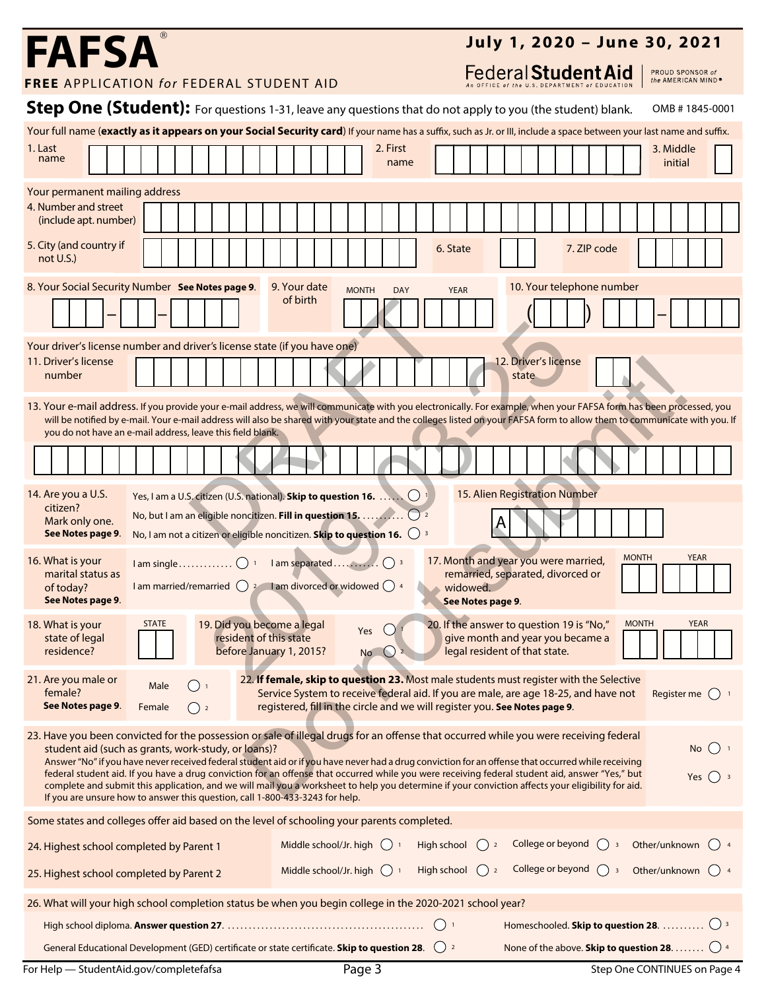<span id="page-2-8"></span><span id="page-2-7"></span><span id="page-2-6"></span><span id="page-2-5"></span><span id="page-2-4"></span><span id="page-2-3"></span><span id="page-2-2"></span><span id="page-2-1"></span><span id="page-2-0"></span>

| <b>FAFSA</b>                                                                                                                                                                                                                                                                                                                                                                         | July 1, 2020 - June 30, 2021                                                                         |  |  |  |
|--------------------------------------------------------------------------------------------------------------------------------------------------------------------------------------------------------------------------------------------------------------------------------------------------------------------------------------------------------------------------------------|------------------------------------------------------------------------------------------------------|--|--|--|
| <b>FREE APPLICATION for FEDERAL STUDENT AID</b>                                                                                                                                                                                                                                                                                                                                      | <b>Federal Student Aid</b><br>PROUD SPONSOR of<br>the AMERICAN MIND®                                 |  |  |  |
| Step One (Student): For questions 1-31, leave any questions that do not apply to you (the student) blank.                                                                                                                                                                                                                                                                            | OMB #1845-0001                                                                                       |  |  |  |
| Your full name (exactly as it appears on your Social Security card) If your name has a suffix, such as Jr. or III, include a space between your last name and suffix.                                                                                                                                                                                                                |                                                                                                      |  |  |  |
| 2. First<br>1. Last<br>name<br>name                                                                                                                                                                                                                                                                                                                                                  | 3. Middle<br>initial                                                                                 |  |  |  |
| Your permanent mailing address                                                                                                                                                                                                                                                                                                                                                       |                                                                                                      |  |  |  |
| 4. Number and street<br>(include apt. number)                                                                                                                                                                                                                                                                                                                                        |                                                                                                      |  |  |  |
| 5. City (and country if<br>not $U.S.$ )                                                                                                                                                                                                                                                                                                                                              | 6. State<br>7. ZIP code                                                                              |  |  |  |
| 8. Your Social Security Number See Notes page 9.<br>9. Your date<br><b>MONTH</b><br><b>DAY</b>                                                                                                                                                                                                                                                                                       | 10. Your telephone number<br><b>YEAR</b>                                                             |  |  |  |
| of birth                                                                                                                                                                                                                                                                                                                                                                             |                                                                                                      |  |  |  |
| Your driver's license number and driver's license state (if you have one)                                                                                                                                                                                                                                                                                                            |                                                                                                      |  |  |  |
| 11. Driver's license<br>number                                                                                                                                                                                                                                                                                                                                                       | 12. Driver's license<br>state                                                                        |  |  |  |
| 13. Your e-mail address. If you provide your e-mail address, we will communicate with you electronically. For example, when your FAFSA form has been processed, you                                                                                                                                                                                                                  |                                                                                                      |  |  |  |
| will be notified by e-mail. Your e-mail address will also be shared with your state and the colleges listed on your FAFSA form to allow them to communicate with you. If<br>you do not have an e-mail address, leave this field blank.                                                                                                                                               |                                                                                                      |  |  |  |
|                                                                                                                                                                                                                                                                                                                                                                                      |                                                                                                      |  |  |  |
| 14. Are you a U.S.<br>Yes, I am a U.S. citizen (U.S. national). Skip to question 16. $\dots \dots$                                                                                                                                                                                                                                                                                   | 15. Alien Registration Number                                                                        |  |  |  |
| citizen?<br>Mark only one.<br>See Notes page 9.<br>No, I am not a citizen or eligible noncitizen. Skip to question 16. $\bigcirc$ 3                                                                                                                                                                                                                                                  |                                                                                                      |  |  |  |
| 16. What is your<br>$\lceil \mathsf{am} \mathsf{single} \dots \dots \dots \dots \bigcap \mathsf{1} \rceil$ am separated $\dots \dots \dots \dots \dots \dots$                                                                                                                                                                                                                        | <b>YEAR</b><br><b>MONTH</b><br>17. Month and year you were married,                                  |  |  |  |
| marital status as<br>I am married/remarried $\bigcirc$ 2 I am divorced or widowed $\bigcirc$ 4<br>of today?<br><b>Alberta</b><br>See Notes page 9.                                                                                                                                                                                                                                   | remarried, separated, divorced or<br>widowed.<br>See Notes page 9.                                   |  |  |  |
| <b>STATE</b><br>19. Did you become a legal<br>18. What is your<br>Yes                                                                                                                                                                                                                                                                                                                | 20. If the answer to question 19 is "No,"<br><b>MONTH</b><br><b>YEAR</b>                             |  |  |  |
| resident of this state<br>state of legal<br>before January 1, 2015?<br>residence?<br><b>No</b>                                                                                                                                                                                                                                                                                       | give month and year you became a<br>legal resident of that state.                                    |  |  |  |
| 21. Are you male or<br>22. If female, skip to question 23. Most male students must register with the Selective<br>Male<br>() <sub>1</sub>                                                                                                                                                                                                                                            |                                                                                                      |  |  |  |
| Service System to receive federal aid. If you are male, are age 18-25, and have not<br>female?<br>See Notes page 9.<br>registered, fill in the circle and we will register you. See Notes page 9.<br>$\bigcirc$ 2<br>Female                                                                                                                                                          | Register me $()$ 1                                                                                   |  |  |  |
| 23. Have you been convicted for the possession or sale of illegal drugs for an offense that occurred while you were receiving federal                                                                                                                                                                                                                                                | No $\bigcirc$ 1                                                                                      |  |  |  |
| student aid (such as grants, work-study, or loans)?<br>Answer "No" if you have never received federal student aid or if you have never had a drug conviction for an offense that occurred while receiving                                                                                                                                                                            |                                                                                                      |  |  |  |
| federal student aid. If you have a drug conviction for an offense that occurred while you were receiving federal student aid, answer "Yes," but<br>complete and submit this application, and we will mail you a worksheet to help you determine if your conviction affects your eligibility for aid.<br>If you are unsure how to answer this question, call 1-800-433-3243 for help. | Yes $\bigcirc$ 3                                                                                     |  |  |  |
| Some states and colleges offer aid based on the level of schooling your parents completed.                                                                                                                                                                                                                                                                                           |                                                                                                      |  |  |  |
| Middle school/Jr. high $\bigcirc$ 1<br>High school<br>24. Highest school completed by Parent 1                                                                                                                                                                                                                                                                                       | College or beyond<br>Other/unknown $\bigcirc$ 4<br>$()$ 2<br>$\overline{\mathbf{3}}$                 |  |  |  |
| Middle school/Jr. high $\bigcap$ 1<br>25. Highest school completed by Parent 2                                                                                                                                                                                                                                                                                                       | College or beyond<br>Other/unknown $\bigcap$ 4<br>High school $\bigcap$ 2<br>$\overline{\mathbf{3}}$ |  |  |  |
| 26. What will your high school completion status be when you begin college in the 2020-2021 school year?                                                                                                                                                                                                                                                                             |                                                                                                      |  |  |  |
|                                                                                                                                                                                                                                                                                                                                                                                      | Homeschooled. Skip to question 28. 0 3                                                               |  |  |  |
| General Educational Development (GED) certificate or state certificate. Skip to question 28. $\bigcirc$ 2                                                                                                                                                                                                                                                                            | None of the above. Skip to question 28. $\bigcirc$ 4                                                 |  |  |  |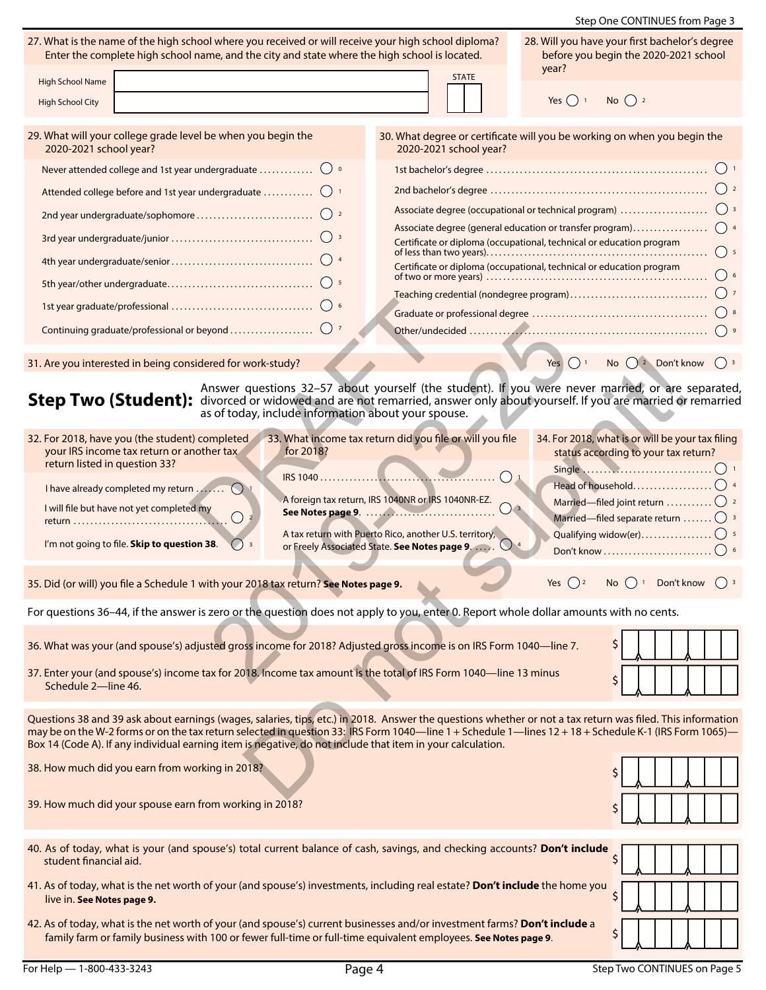<span id="page-3-6"></span><span id="page-3-5"></span><span id="page-3-4"></span><span id="page-3-3"></span><span id="page-3-2"></span><span id="page-3-1"></span><span id="page-3-0"></span>

|                                                                                                                                                                                                                                                                                                                                                                                                                                   | Step One CONTINUES from Page 3                                                                                                                                                                                                  |  |  |  |  |
|-----------------------------------------------------------------------------------------------------------------------------------------------------------------------------------------------------------------------------------------------------------------------------------------------------------------------------------------------------------------------------------------------------------------------------------|---------------------------------------------------------------------------------------------------------------------------------------------------------------------------------------------------------------------------------|--|--|--|--|
| 27. What is the name of the high school where you received or will receive your high school diploma?<br>Enter the complete high school name, and the city and state where the high school is located.<br><b>High School Name</b>                                                                                                                                                                                                  | 28. Will you have your first bachelor's degree<br>before you begin the 2020-2021 school<br>year?<br><b>STATE</b>                                                                                                                |  |  |  |  |
| <b>High School City</b>                                                                                                                                                                                                                                                                                                                                                                                                           | Yes $\bigcirc$ 1<br>No $\bigcirc$ 2                                                                                                                                                                                             |  |  |  |  |
| 29. What will your college grade level be when you begin the<br>2020-2021 school year?                                                                                                                                                                                                                                                                                                                                            | 30. What degree or certificate will you be working on when you begin the<br>2020-2021 school year?                                                                                                                              |  |  |  |  |
|                                                                                                                                                                                                                                                                                                                                                                                                                                   |                                                                                                                                                                                                                                 |  |  |  |  |
| Attended college before and 1st year undergraduate  0                                                                                                                                                                                                                                                                                                                                                                             |                                                                                                                                                                                                                                 |  |  |  |  |
|                                                                                                                                                                                                                                                                                                                                                                                                                                   | Associate degree (occupational or technical program)                                                                                                                                                                            |  |  |  |  |
|                                                                                                                                                                                                                                                                                                                                                                                                                                   | Certificate or diploma (occupational, technical or education program                                                                                                                                                            |  |  |  |  |
|                                                                                                                                                                                                                                                                                                                                                                                                                                   | Certificate or diploma (occupational, technical or education program                                                                                                                                                            |  |  |  |  |
|                                                                                                                                                                                                                                                                                                                                                                                                                                   |                                                                                                                                                                                                                                 |  |  |  |  |
|                                                                                                                                                                                                                                                                                                                                                                                                                                   |                                                                                                                                                                                                                                 |  |  |  |  |
|                                                                                                                                                                                                                                                                                                                                                                                                                                   |                                                                                                                                                                                                                                 |  |  |  |  |
|                                                                                                                                                                                                                                                                                                                                                                                                                                   |                                                                                                                                                                                                                                 |  |  |  |  |
| 31. Are you interested in being considered for work-study?                                                                                                                                                                                                                                                                                                                                                                        | Yes $\bigcirc$ 1<br>No $\bigcirc$ 2 Don't know $\bigcirc$ 3                                                                                                                                                                     |  |  |  |  |
| as of today, include information about your spouse.                                                                                                                                                                                                                                                                                                                                                                               | Answer questions 32-57 about yourself (the student). If you were never married, or are separated,<br>Step Two (Student): divorced or widowed and are not remarried, answer only about yourself. If you are married or remarried |  |  |  |  |
| 32. For 2018, have you (the student) completed<br>your IRS income tax return or another tax<br>for 2018?<br>return listed in question 33?                                                                                                                                                                                                                                                                                         | 33. What income tax return did you file or will you file<br>34. For 2018, what is or will be your tax filing<br>status according to your tax return?                                                                            |  |  |  |  |
| I have already completed my return                                                                                                                                                                                                                                                                                                                                                                                                |                                                                                                                                                                                                                                 |  |  |  |  |
| A foreign tax return, IRS 1040NR or IRS 1040NR-EZ.<br>Married-filed joint return  0 2<br>I will file but have not yet completed my<br>Married-filed separate return  0 3                                                                                                                                                                                                                                                          |                                                                                                                                                                                                                                 |  |  |  |  |
| I'm not going to file. Skip to question 38.                                                                                                                                                                                                                                                                                                                                                                                       | A tax return with Puerto Rico, another U.S. territory,<br>or Freely Associated State. See Notes page 9. 04                                                                                                                      |  |  |  |  |
| Yes $\bigcirc$ 2<br>No $\bigcap_1$ Don't know<br>$()$ 3<br>35. Did (or will) you file a Schedule 1 with your 2018 tax return? See Notes page 9.                                                                                                                                                                                                                                                                                   |                                                                                                                                                                                                                                 |  |  |  |  |
| For questions 36-44, if the answer is zero or the question does not apply to you, enter 0. Report whole dollar amounts with no cents.                                                                                                                                                                                                                                                                                             |                                                                                                                                                                                                                                 |  |  |  |  |
| 36. What was your (and spouse's) adjusted gross income for 2018? Adjusted gross income is on IRS Form 1040—line 7.                                                                                                                                                                                                                                                                                                                | \$                                                                                                                                                                                                                              |  |  |  |  |
| 37. Enter your (and spouse's) income tax for 2018. Income tax amount is the total of IRS Form 1040-line 13 minus<br>Schedule 2-line 46.                                                                                                                                                                                                                                                                                           | \$.                                                                                                                                                                                                                             |  |  |  |  |
| Questions 38 and 39 ask about earnings (wages, salaries, tips, etc.) in 2018. Answer the questions whether or not a tax return was filed. This information<br>may be on the W-2 forms or on the tax return selected in question 33: IRS Form 1040—line 1 + Schedule 1—lines 12 + 18 + Schedule K-1 (IRS Form 1065)—<br>Box 14 (Code A). If any individual earning item is negative, do not include that item in your calculation. |                                                                                                                                                                                                                                 |  |  |  |  |
| 38. How much did you earn from working in 2018?                                                                                                                                                                                                                                                                                                                                                                                   | \$                                                                                                                                                                                                                              |  |  |  |  |
| 39. How much did your spouse earn from working in 2018?                                                                                                                                                                                                                                                                                                                                                                           | \$                                                                                                                                                                                                                              |  |  |  |  |
| 40. As of today, what is your (and spouse's) total current balance of cash, savings, and checking accounts? Don't include<br>student financial aid.                                                                                                                                                                                                                                                                               | \$                                                                                                                                                                                                                              |  |  |  |  |
| 41. As of today, what is the net worth of your (and spouse's) investments, including real estate? Don't include the home you<br>live in. See Notes page 9.                                                                                                                                                                                                                                                                        | \$.                                                                                                                                                                                                                             |  |  |  |  |
| 42. As of today, what is the net worth of your (and spouse's) current businesses and/or investment farms? Don't include a<br>family farm or family business with 100 or fewer full-time or full-time equivalent employees. See Notes page 9.                                                                                                                                                                                      | \$                                                                                                                                                                                                                              |  |  |  |  |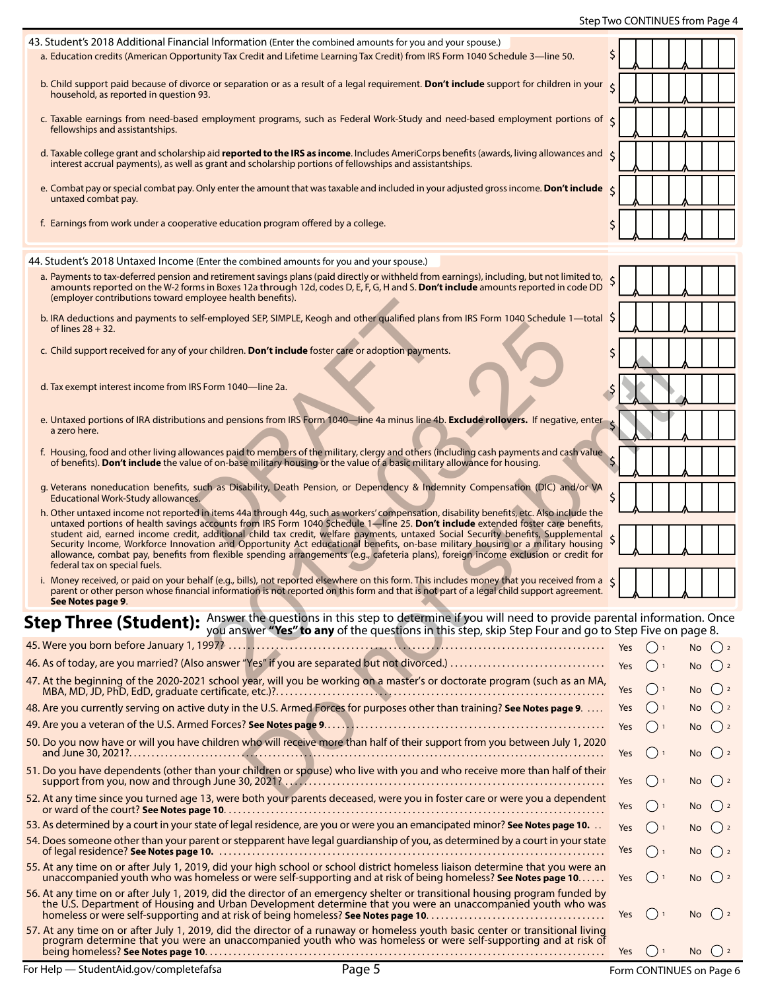# Step Two CONTINUES from Page 4

<span id="page-4-0"></span>

| 43. Student's 2018 Additional Financial Information (Enter the combined amounts for you and your spouse.)<br>a. Education credits (American Opportunity Tax Credit and Lifetime Learning Tax Credit) from IRS Form 1040 Schedule 3—line 50.                                                                                                                                                                                                                                                                                                                                                                                                                                                                               | \$                      |                   |                   |                                                   |
|---------------------------------------------------------------------------------------------------------------------------------------------------------------------------------------------------------------------------------------------------------------------------------------------------------------------------------------------------------------------------------------------------------------------------------------------------------------------------------------------------------------------------------------------------------------------------------------------------------------------------------------------------------------------------------------------------------------------------|-------------------------|-------------------|-------------------|---------------------------------------------------|
|                                                                                                                                                                                                                                                                                                                                                                                                                                                                                                                                                                                                                                                                                                                           |                         |                   |                   |                                                   |
| b. Child support paid because of divorce or separation or as a result of a legal requirement. Don't include support for children in your<br>household, as reported in question 93.                                                                                                                                                                                                                                                                                                                                                                                                                                                                                                                                        | $\zeta$                 |                   |                   |                                                   |
| c. Taxable earnings from need-based employment programs, such as Federal Work-Study and need-based employment portions of $\zeta$<br>fellowships and assistantships.                                                                                                                                                                                                                                                                                                                                                                                                                                                                                                                                                      |                         |                   |                   |                                                   |
| d. Taxable college grant and scholarship aid reported to the IRS as income. Includes AmeriCorps benefits (awards, living allowances and $\zeta$<br>interest accrual payments), as well as grant and scholarship portions of fellowships and assistantships.                                                                                                                                                                                                                                                                                                                                                                                                                                                               |                         |                   |                   |                                                   |
| e. Combat pay or special combat pay. Only enter the amount that was taxable and included in your adjusted gross income. Don't include $\zeta$<br>untaxed combat pay.                                                                                                                                                                                                                                                                                                                                                                                                                                                                                                                                                      |                         |                   |                   |                                                   |
| f. Earnings from work under a cooperative education program offered by a college.                                                                                                                                                                                                                                                                                                                                                                                                                                                                                                                                                                                                                                         | \$                      |                   |                   |                                                   |
| 44. Student's 2018 Untaxed Income (Enter the combined amounts for you and your spouse.)                                                                                                                                                                                                                                                                                                                                                                                                                                                                                                                                                                                                                                   |                         |                   |                   |                                                   |
| a. Payments to tax-deferred pension and retirement savings plans (paid directly or withheld from earnings), including, but not limited to,<br>amounts reported on the W-2 forms in Boxes 12a through 12d, codes D, E, F, G, H and S. Don't include amounts reported in code DD<br>(employer contributions toward employee health benefits).                                                                                                                                                                                                                                                                                                                                                                               |                         |                   |                   |                                                   |
| b. IRA deductions and payments to self-employed SEP, SIMPLE, Keogh and other qualified plans from IRS Form 1040 Schedule 1—total \$<br>of lines $28 + 32$ .                                                                                                                                                                                                                                                                                                                                                                                                                                                                                                                                                               |                         |                   |                   |                                                   |
| c. Child support received for any of your children. Don't include foster care or adoption payments.                                                                                                                                                                                                                                                                                                                                                                                                                                                                                                                                                                                                                       | \$                      |                   |                   |                                                   |
| d. Tax exempt interest income from IRS Form 1040-line 2a.                                                                                                                                                                                                                                                                                                                                                                                                                                                                                                                                                                                                                                                                 |                         |                   |                   |                                                   |
| e. Untaxed portions of IRA distributions and pensions from IRS Form 1040—line 4a minus line 4b. Exclude rollovers. If negative, enter<br>a zero here.                                                                                                                                                                                                                                                                                                                                                                                                                                                                                                                                                                     |                         |                   |                   |                                                   |
| f. Housing, food and other living allowances paid to members of the military, clergy and others (including cash payments and cash value<br>of benefits). Don't include the value of on-base military housing or the value of a basic military allowance for housing.                                                                                                                                                                                                                                                                                                                                                                                                                                                      | $\overline{\mathsf{S}}$ |                   |                   |                                                   |
| g. Veterans noneducation benefits, such as Disability, Death Pension, or Dependency & Indemnity Compensation (DIC) and/or VA<br><b>Educational Work-Study allowances.</b>                                                                                                                                                                                                                                                                                                                                                                                                                                                                                                                                                 | \$                      |                   |                   |                                                   |
| h. Other untaxed income not reported in items 44a through 44q, such as workers' compensation, disability benefits, etc. Also include the<br>untaxed portions of health savings accounts from IRS Form 1040 Schedule 1-line 25. Don't include extended foster care benefits,<br>student aid, earned income credit, additional child tax credit, welfare payments, untaxed Social Security benefits, Supplemental<br>Security Income, Workforce Innovation and Opportunity Act educational benefits, on-base military housing or a military housing<br>allowance, combat pay, benefits from flexible spending arrangements (e.g., cafeteria plans), foreign income exclusion or credit for<br>federal tax on special fuels. |                         |                   |                   |                                                   |
| i. Money received, or paid on your behalf (e.g., bills), not reported elsewhere on this form. This includes money that you received from a $\zeta$<br>parent or other person whose financial information is not reported on this form and that is not part of a legal child support agreement.<br>See Notes page 9.                                                                                                                                                                                                                                                                                                                                                                                                       |                         |                   |                   |                                                   |
| Step Three (Student): Answer the questions in this step to determine if you will need to provide parental information. Once Step Three (Student): you answer "Yes" to any of the questions in this step, skip Step Four and go                                                                                                                                                                                                                                                                                                                                                                                                                                                                                            |                         |                   |                   |                                                   |
|                                                                                                                                                                                                                                                                                                                                                                                                                                                                                                                                                                                                                                                                                                                           | Yes                     | () <sub>1</sub>   |                   | No $()$ 2                                         |
| 46. As of today, are you married? (Also answer "Yes" if you are separated but not divorced.)                                                                                                                                                                                                                                                                                                                                                                                                                                                                                                                                                                                                                              | Yes                     | $()$ <sup>1</sup> | No                | $\left( \quad \right)$ 2                          |
| 47. At the beginning of the 2020-2021 school year, will you be working on a master's or doctorate program (such as an MA,                                                                                                                                                                                                                                                                                                                                                                                                                                                                                                                                                                                                 | Yes                     |                   | No                | $\left( \begin{array}{c} 1 \end{array} \right)$ 2 |
| 48. Are you currently serving on active duty in the U.S. Armed Forces for purposes other than training? See Notes page 9.                                                                                                                                                                                                                                                                                                                                                                                                                                                                                                                                                                                                 | Yes                     | ()1               | No                |                                                   |
|                                                                                                                                                                                                                                                                                                                                                                                                                                                                                                                                                                                                                                                                                                                           | Yes                     | ( ) 1             | No                | $\left( \begin{array}{c} \end{array} \right)$ 2   |
| 50. Do you now have or will you have children who will receive more than half of their support from you between July 1, 2020                                                                                                                                                                                                                                                                                                                                                                                                                                                                                                                                                                                              | Yes                     | () <sub>1</sub>   | No                | $\left( \quad \right)$ 2                          |
| 51. Do you have dependents (other than your children or spouse) who live with you and who receive more than half of their                                                                                                                                                                                                                                                                                                                                                                                                                                                                                                                                                                                                 | Yes                     | () <sub>1</sub>   | No                | $\left( \right)$ 2                                |
| 52. At any time since you turned age 13, were both your parents deceased, were you in foster care or were you a dependent                                                                                                                                                                                                                                                                                                                                                                                                                                                                                                                                                                                                 | Yes                     |                   | No                | $\left( \begin{array}{c} \end{array} \right)$ 2   |
| 53. As determined by a court in your state of legal residence, are you or were you an emancipated minor? See Notes page 10.                                                                                                                                                                                                                                                                                                                                                                                                                                                                                                                                                                                               | Yes                     |                   | No                |                                                   |
| 54. Does someone other than your parent or stepparent have legal guardianship of you, as determined by a court in your state                                                                                                                                                                                                                                                                                                                                                                                                                                                                                                                                                                                              | Yes                     | $( )$ 1           | No                |                                                   |
| 55. At any time on or after July 1, 2019, did your high school or school district homeless liaison determine that you were an<br>unaccompanied youth who was homeless or were self-supporting and at risk of being homeless? See Notes page 10                                                                                                                                                                                                                                                                                                                                                                                                                                                                            | Yes                     | () <sub>1</sub>   | No                | $\left( \begin{array}{c} \end{array} \right)$ 2   |
| 56. At any time on or after July 1, 2019, did the director of an emergency shelter or transitional housing program funded by<br>the U.S. Department of Housing and Urban Development determine that you were an unaccompanied youth who was                                                                                                                                                                                                                                                                                                                                                                                                                                                                               | Yes                     | () <sub>1</sub>   | No                | $\left( \quad \right)$ 2                          |
| 57. At any time on or after July 1, 2019, did the director of a runaway or homeless youth basic center or transitional living program determine that you were an unaccompanied youth who was homeless or were self-supporting                                                                                                                                                                                                                                                                                                                                                                                                                                                                                             | <b>Yes</b>              | () <sub>1</sub>   | No l              |                                                   |
|                                                                                                                                                                                                                                                                                                                                                                                                                                                                                                                                                                                                                                                                                                                           |                         |                   | $COMITINHIFC = A$ |                                                   |

<span id="page-4-8"></span><span id="page-4-7"></span><span id="page-4-6"></span><span id="page-4-5"></span><span id="page-4-4"></span><span id="page-4-3"></span><span id="page-4-2"></span><span id="page-4-1"></span>Form CONTINUES on Page 6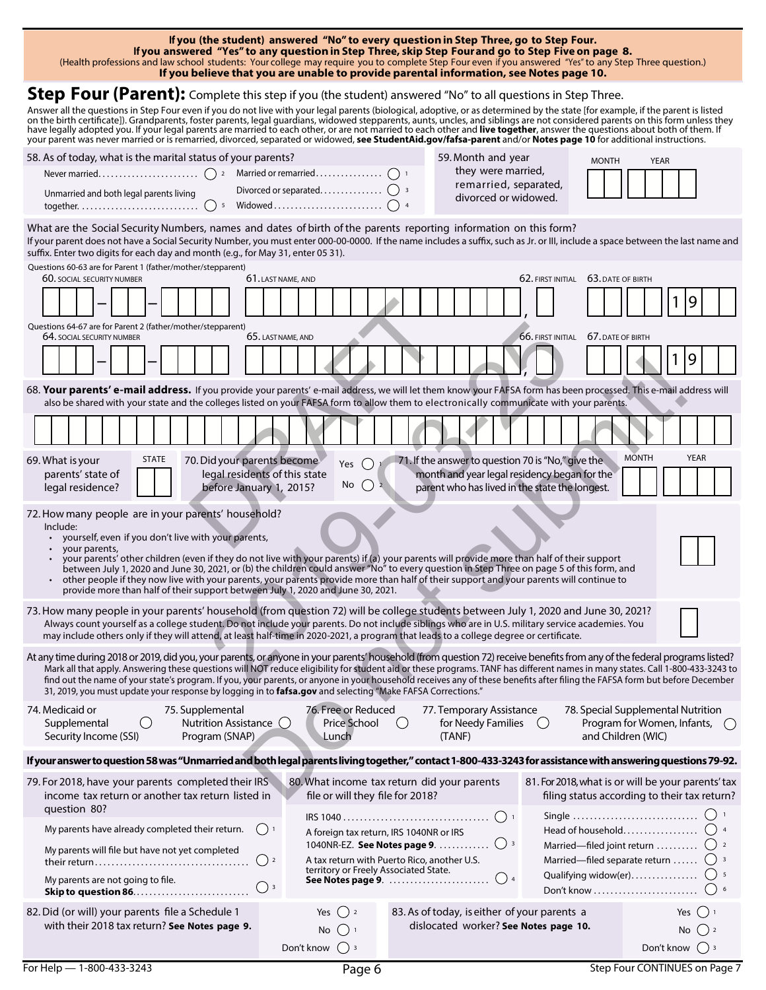<span id="page-5-5"></span><span id="page-5-4"></span><span id="page-5-3"></span><span id="page-5-2"></span><span id="page-5-1"></span><span id="page-5-0"></span>

| If you (the student) answered "No" to every question in Step Three, go to Step Four.<br>If you answered "Yes" to any question in Step Three, skip Step Four and go to Step Five on page 8.<br>(Health professions and law school students: Your college may require you to complete Step Four even if you answered "Yes" to any Step Three question.)<br>If you believe that you are unable to provide parental information, see Notes page 10.                                                                                                                                                                                                                                                                       |                                                                                  |                                                                                       |                                        |                                                                                                    |
|-----------------------------------------------------------------------------------------------------------------------------------------------------------------------------------------------------------------------------------------------------------------------------------------------------------------------------------------------------------------------------------------------------------------------------------------------------------------------------------------------------------------------------------------------------------------------------------------------------------------------------------------------------------------------------------------------------------------------|----------------------------------------------------------------------------------|---------------------------------------------------------------------------------------|----------------------------------------|----------------------------------------------------------------------------------------------------|
| Step Four (Parent): Complete this step if you (the student) answered "No" to all questions in Step Three.                                                                                                                                                                                                                                                                                                                                                                                                                                                                                                                                                                                                             |                                                                                  |                                                                                       |                                        |                                                                                                    |
| Answer all the questions in Step Four even if you do not live with your legal parents (biological, adoptive, or as determined by the state [for example, if the parent is listed<br>on the birth certificate]). Grandparents, foster parents, legal guardians, widowed stepparents, aunts, uncles, and siblings are not considered parents on this form unless they<br>have legally adopted you. If your legal parents are married to each other, or are not married to each other and live together, answer the questions about both of them. If<br>your parent was never married or is remarried, divorced, separated or widowed, see StudentAid.gov/fafsa-parent and/or Notes page 10 for additional instructions. |                                                                                  |                                                                                       |                                        |                                                                                                    |
| 58. As of today, what is the marital status of your parents?                                                                                                                                                                                                                                                                                                                                                                                                                                                                                                                                                                                                                                                          |                                                                                  | 59. Month and year                                                                    | <b>MONTH</b>                           | <b>YEAR</b>                                                                                        |
| Unmarried and both legal parents living                                                                                                                                                                                                                                                                                                                                                                                                                                                                                                                                                                                                                                                                               |                                                                                  | they were married,<br>remarried, separated,<br>divorced or widowed.                   |                                        |                                                                                                    |
| What are the Social Security Numbers, names and dates of birth of the parents reporting information on this form?<br>If your parent does not have a Social Security Number, you must enter 000-00-0000. If the name includes a suffix, such as Jr. or III, include a space between the last name and                                                                                                                                                                                                                                                                                                                                                                                                                  |                                                                                  |                                                                                       |                                        |                                                                                                    |
| suffix. Enter two digits for each day and month (e.g., for May 31, enter 05 31).<br>Questions 60-63 are for Parent 1 (father/mother/stepparent)                                                                                                                                                                                                                                                                                                                                                                                                                                                                                                                                                                       |                                                                                  |                                                                                       |                                        |                                                                                                    |
| <b>60. SOCIAL SECURITY NUMBER</b>                                                                                                                                                                                                                                                                                                                                                                                                                                                                                                                                                                                                                                                                                     | 61. LAST NAME, AND                                                               |                                                                                       | 63. DATE OF BIRTH<br>62. FIRST INITIAL | 9                                                                                                  |
| Questions 64-67 are for Parent 2 (father/mother/stepparent)<br>64. SOCIAL SECURITY NUMBER<br>65. LAST NAME, AND                                                                                                                                                                                                                                                                                                                                                                                                                                                                                                                                                                                                       |                                                                                  |                                                                                       | 66. FIRST INITIAL<br>67. DATE OF BIRTH |                                                                                                    |
|                                                                                                                                                                                                                                                                                                                                                                                                                                                                                                                                                                                                                                                                                                                       |                                                                                  |                                                                                       |                                        | $\overline{9}$                                                                                     |
| 68. Your parents' e-mail address. If you provide your parents' e-mail address, we will let them know your FAFSA form has been processed. This e-mail address will<br>also be shared with your state and the colleges listed on your FAFSA form to allow them to electronically communicate with your parents.                                                                                                                                                                                                                                                                                                                                                                                                         |                                                                                  |                                                                                       |                                        |                                                                                                    |
|                                                                                                                                                                                                                                                                                                                                                                                                                                                                                                                                                                                                                                                                                                                       |                                                                                  |                                                                                       |                                        |                                                                                                    |
| <b>MONTH</b><br><b>YEAR</b><br><b>STATE</b><br>70. Did your parents become<br>71. If the answer to question 70 is "No," give the<br>69. What is your<br>Yes<br>$($ )<br>legal residents of this state<br>month and year legal residency began for the<br>parents' state of<br>No.<br>parent who has lived in the state the longest.<br>legal residence?<br>before January 1, 2015?                                                                                                                                                                                                                                                                                                                                    |                                                                                  |                                                                                       |                                        |                                                                                                    |
| 72. How many people are in your parents' household?<br>Include:<br>• yourself, even if you don't live with your parents,<br>your parents,<br>your parents' other children (even if they do not live with your parents) if (a) your parents will provide more than half of their support<br>between July 1, 2020 and June 30, 2021, or (b) the children could answer "No" to every question in Step Three on page 5 of this form, and<br>other people if they now live with your parents, your parents provide more than half of their support and your parents will continue to<br>provide more than half of their support between July 1, 2020 and June 30, 2021.                                                    |                                                                                  |                                                                                       |                                        |                                                                                                    |
| 73. How many people in your parents' household (from question 72) will be college students between July 1, 2020 and June 30, 2021?<br>Always count yourself as a college student. Do not include your parents. Do not include siblings who are in U.S. military service academies. You<br>may include others only if they will attend, at least half-time in 2020-2021, a program that leads to a college degree or certificate.                                                                                                                                                                                                                                                                                      |                                                                                  |                                                                                       |                                        |                                                                                                    |
| At any time during 2018 or 2019, did you, your parents, or anyone in your parents' household (from question 72) receive benefits from any of the federal programs listed?<br>Mark all that apply. Answering these questions will NOT reduce eligibility for student aid or these programs. TANF has different names in many states. Call 1-800-433-3243 to<br>find out the name of your state's program. If you, your parents, or anyone in your household receives any of these benefits after filing the FAFSA form but before December<br>31, 2019, you must update your response by logging in to fafsa.gov and selecting "Make FAFSA Corrections."                                                               |                                                                                  |                                                                                       |                                        |                                                                                                    |
| 74. Medicaid or<br>75. Supplemental<br>Nutrition Assistance $\bigcirc$<br>Supplemental<br>$\cup$<br>Program (SNAP)<br>Security Income (SSI)                                                                                                                                                                                                                                                                                                                                                                                                                                                                                                                                                                           | 76. Free or Reduced<br><b>Price School</b><br>Lunch                              | 77. Temporary Assistance<br>for Needy Families $\bigcirc$<br>$($ )<br>(TANF)          |                                        | 78. Special Supplemental Nutrition<br>Program for Women, Infants, $\bigcirc$<br>and Children (WIC) |
| If your answer to question 58 was "Unmarried and both legal parents living together," contact 1-800-433-3243 for assistance with answering questions 79-92.                                                                                                                                                                                                                                                                                                                                                                                                                                                                                                                                                           |                                                                                  |                                                                                       |                                        |                                                                                                    |
| 79. For 2018, have your parents completed their IRS<br>income tax return or another tax return listed in<br>question 80?                                                                                                                                                                                                                                                                                                                                                                                                                                                                                                                                                                                              | file or will they file for 2018?                                                 | 80. What income tax return did your parents                                           |                                        | 81. For 2018, what is or will be your parents' tax<br>filing status according to their tax return? |
| My parents have already completed their return.<br>() <sub>1</sub>                                                                                                                                                                                                                                                                                                                                                                                                                                                                                                                                                                                                                                                    |                                                                                  |                                                                                       |                                        |                                                                                                    |
| My parents will file but have not yet completed<br>$()$ 2                                                                                                                                                                                                                                                                                                                                                                                                                                                                                                                                                                                                                                                             | A foreign tax return, IRS 1040NR or IRS<br>territory or Freely Associated State. | 1040NR-EZ. See Notes page 9.  0 3<br>A tax return with Puerto Rico, another U.S.      |                                        | Married—filed joint return $\bigcirc$ 2<br>Married—filed separate return $\bigcirc$ 3              |
| My parents are not going to file.<br>$\bigcirc$ 3                                                                                                                                                                                                                                                                                                                                                                                                                                                                                                                                                                                                                                                                     |                                                                                  |                                                                                       |                                        |                                                                                                    |
| 82. Did (or will) your parents file a Schedule 1<br>with their 2018 tax return? See Notes page 9.                                                                                                                                                                                                                                                                                                                                                                                                                                                                                                                                                                                                                     | Yes $()$ 2<br>No $()$ <sup>1</sup><br>Don't know $\bigcirc$ 3                    | 83. As of today, is either of your parents a<br>dislocated worker? See Notes page 10. |                                        | Yes $()$ 1<br>No<br>Don't know $\binom{3}{3}$                                                      |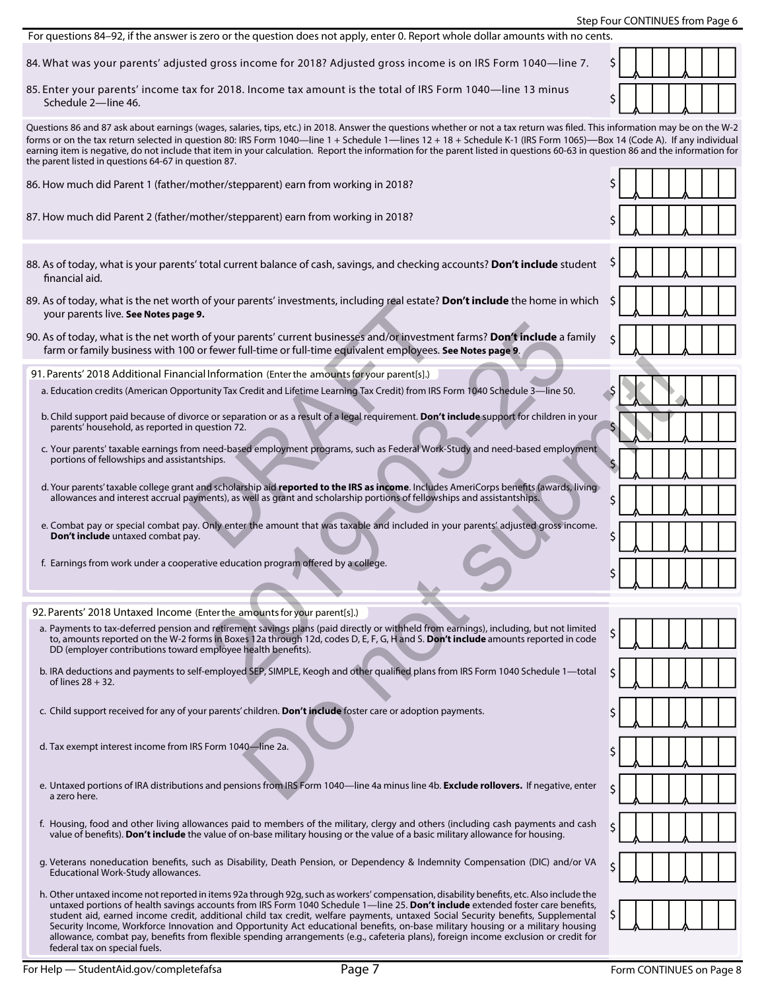Step Four CONTINUES from Page 6

<span id="page-6-2"></span><span id="page-6-1"></span><span id="page-6-0"></span>

| For questions 84-92, if the answer is zero or the question does not apply, enter 0. Report whole dollar amounts with no cents.                                                                                                                                                                                                                                                                                                                                                                                                                                                                                                                                                           |    |
|------------------------------------------------------------------------------------------------------------------------------------------------------------------------------------------------------------------------------------------------------------------------------------------------------------------------------------------------------------------------------------------------------------------------------------------------------------------------------------------------------------------------------------------------------------------------------------------------------------------------------------------------------------------------------------------|----|
| 84. What was your parents' adjusted gross income for 2018? Adjusted gross income is on IRS Form 1040-line 7.                                                                                                                                                                                                                                                                                                                                                                                                                                                                                                                                                                             | \$ |
| 85. Enter your parents' income tax for 2018. Income tax amount is the total of IRS Form 1040-line 13 minus<br>Schedule 2-line 46.                                                                                                                                                                                                                                                                                                                                                                                                                                                                                                                                                        | \$ |
| Questions 86 and 87 ask about earnings (wages, salaries, tips, etc.) in 2018. Answer the questions whether or not a tax return was filed. This information may be on the W-2<br>forms or on the tax return selected in question 80: IRS Form 1040—line 1 + Schedule 1—lines 12 + 18 + Schedule K-1 (IRS Form 1065)—Box 14 (Code A). If any individual<br>earning item is negative, do not include that item in your calculation. Report the information for the parent listed in questions 60-63 in question 86 and the information for<br>the parent listed in questions 64-67 in question 87.                                                                                          |    |
| 86. How much did Parent 1 (father/mother/stepparent) earn from working in 2018?                                                                                                                                                                                                                                                                                                                                                                                                                                                                                                                                                                                                          | Ś  |
| 87. How much did Parent 2 (father/mother/stepparent) earn from working in 2018?                                                                                                                                                                                                                                                                                                                                                                                                                                                                                                                                                                                                          | \$ |
| 88. As of today, what is your parents' total current balance of cash, savings, and checking accounts? Don't include student<br>financial aid.                                                                                                                                                                                                                                                                                                                                                                                                                                                                                                                                            | \$ |
| 89. As of today, what is the net worth of your parents' investments, including real estate? Don't include the home in which<br>your parents live. See Notes page 9.                                                                                                                                                                                                                                                                                                                                                                                                                                                                                                                      | Ŝ  |
| 90. As of today, what is the net worth of your parents' current businesses and/or investment farms? Don't include a family<br>farm or family business with 100 or fewer full-time or full-time equivalent employees. See Notes page 9.                                                                                                                                                                                                                                                                                                                                                                                                                                                   | Ś  |
| 91. Parents' 2018 Additional Financial Information (Enter the amounts for your parent[s].)<br>a. Education credits (American Opportunity Tax Credit and Lifetime Learning Tax Credit) from IRS Form 1040 Schedule 3-line 50.                                                                                                                                                                                                                                                                                                                                                                                                                                                             |    |
| b. Child support paid because of divorce or separation or as a result of a legal requirement. Don't include support for children in your                                                                                                                                                                                                                                                                                                                                                                                                                                                                                                                                                 |    |
| parents' household, as reported in question 72.<br>c. Your parents' taxable earnings from need-based employment programs, such as Federal Work-Study and need-based employment                                                                                                                                                                                                                                                                                                                                                                                                                                                                                                           |    |
| portions of fellowships and assistantships.                                                                                                                                                                                                                                                                                                                                                                                                                                                                                                                                                                                                                                              |    |
| d. Your parents' taxable college grant and scholarship aid reported to the IRS as income. Includes AmeriCorps benefits (awards, living)<br>allowances and interest accrual payments), as well as grant and scholarship portions of fellowships and assistantships.                                                                                                                                                                                                                                                                                                                                                                                                                       | \$ |
| e. Combat pay or special combat pay. Only enter the amount that was taxable and included in your parents' adjusted gross income.<br>Don't include untaxed combat pay.                                                                                                                                                                                                                                                                                                                                                                                                                                                                                                                    | \$ |
| f. Earnings from work under a cooperative education program offered by a college.                                                                                                                                                                                                                                                                                                                                                                                                                                                                                                                                                                                                        | \$ |
|                                                                                                                                                                                                                                                                                                                                                                                                                                                                                                                                                                                                                                                                                          |    |
| 92. Parents' 2018 Untaxed Income (Enter the amounts for your parent[s].)                                                                                                                                                                                                                                                                                                                                                                                                                                                                                                                                                                                                                 |    |
| a. Payments to tax-deferred pension and retirement savings plans (paid directly or withheld from earnings), including, but not limited<br>to, amounts reported on the W-2 forms in Boxes 12a through 12d, codes D, E, F, G, H and S. Don't include amounts reported in code<br>DD (employer contributions toward employee health benefits).                                                                                                                                                                                                                                                                                                                                              |    |
| b. IRA deductions and payments to self-employed SEP, SIMPLE, Keogh and other qualified plans from IRS Form 1040 Schedule 1-total<br>of lines $28 + 32$ .                                                                                                                                                                                                                                                                                                                                                                                                                                                                                                                                 | \$ |
| c. Child support received for any of your parents' children. Don't include foster care or adoption payments.                                                                                                                                                                                                                                                                                                                                                                                                                                                                                                                                                                             | \$ |
| d. Tax exempt interest income from IRS Form 1040-line 2a.                                                                                                                                                                                                                                                                                                                                                                                                                                                                                                                                                                                                                                | \$ |
| e. Untaxed portions of IRA distributions and pensions from IRS Form 1040—line 4a minus line 4b. Exclude rollovers. If negative, enter<br>a zero here.                                                                                                                                                                                                                                                                                                                                                                                                                                                                                                                                    | \$ |
| f. Housing, food and other living allowances paid to members of the military, clergy and others (including cash payments and cash<br>value of benefits). Don't include the value of on-base military housing or the value of a basic military allowance for housing.                                                                                                                                                                                                                                                                                                                                                                                                                     | \$ |
| g. Veterans noneducation benefits, such as Disability, Death Pension, or Dependency & Indemnity Compensation (DIC) and/or VA<br>Educational Work-Study allowances.                                                                                                                                                                                                                                                                                                                                                                                                                                                                                                                       | \$ |
| h. Other untaxed income not reported in items 92a through 92g, such as workers' compensation, disability benefits, etc. Also include the<br>untaxed portions of health savings accounts from IRS Form 1040 Schedule 1—line 25. Don't include extended foster care benefits,<br>student aid, earned income credit, additional child tax credit, welfare payments, untaxed Social Security benefits, Supplemental<br>Security Income, Workforce Innovation and Opportunity Act educational benefits, on-base military housing or a military housing<br>allowance, combat pay, benefits from flexible spending arrangements (e.g., cafeteria plans), foreign income exclusion or credit for |    |

federal tax on special fuels.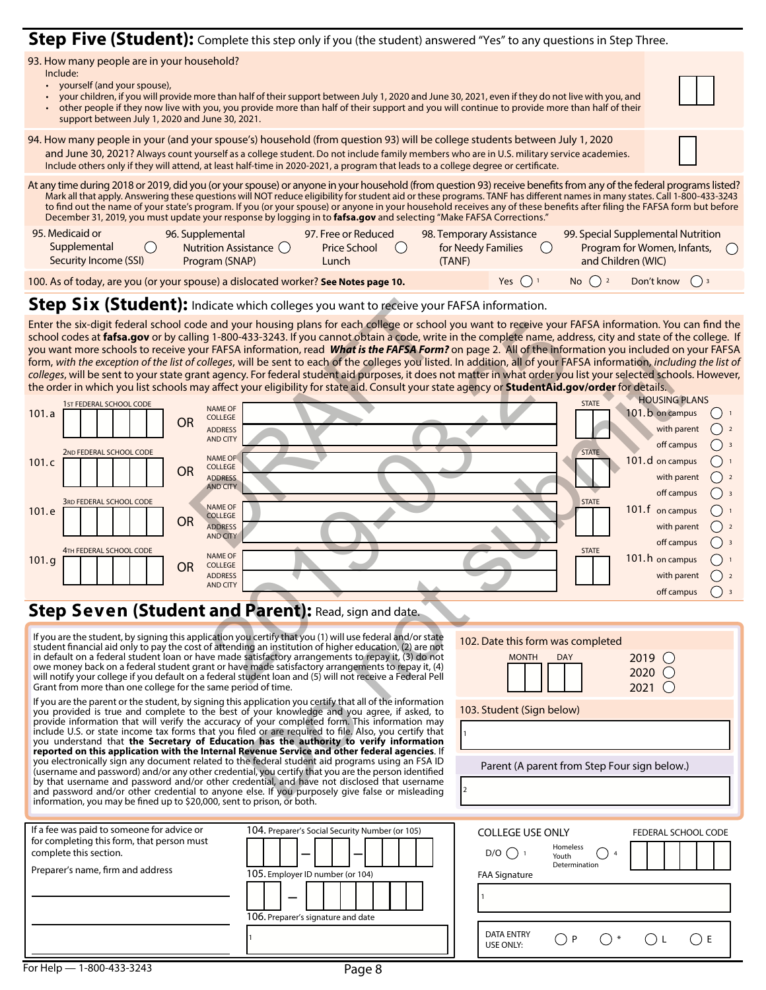# <span id="page-7-0"></span>**Sten Five (Student):** Complete this step only if you (the student) answered "Yes" to any questions in Step Three

<span id="page-7-1"></span>

| <b>Prop I IVe (Pranchiv).</b> Complete and step only if you (the student) undirected ited to any questions in step Timeer                                                                                                                                                                                                                                                                                                                                                                                                                                                                                                                          |                                       |  |  |
|----------------------------------------------------------------------------------------------------------------------------------------------------------------------------------------------------------------------------------------------------------------------------------------------------------------------------------------------------------------------------------------------------------------------------------------------------------------------------------------------------------------------------------------------------------------------------------------------------------------------------------------------------|---------------------------------------|--|--|
| 93. How many people are in your household?<br>Include:<br>• yourself (and your spouse),<br>• your children, if you will provide more than half of their support between July 1, 2020 and June 30, 2021, even if they do not live with you, and<br>other people if they now live with you, you provide more than half of their support and you will continue to provide more than half of their<br>support between July 1, 2020 and June 30, 2021.                                                                                                                                                                                                  |                                       |  |  |
| 94. How many people in your (and your spouse's) household (from question 93) will be college students between July 1, 2020<br>and June 30, 2021? Always count yourself as a college student. Do not include family members who are in U.S. military service academies.<br>Include others only if they will attend, at least half-time in 2020-2021, a program that leads to a college degree or certificate.                                                                                                                                                                                                                                       |                                       |  |  |
| At any time during 2018 or 2019, did you (or your spouse) or anyone in your household (from question 93) receive benefits from any of the federal programs listed?<br>Mark all that apply. Answering these questions will NOT reduce eligibility for student aid or these programs. TANF has different names in many states. Call 1-800-433-3243<br>to find out the name of your state's program. If you (or your spouse) or anyone in your household receives any of these benefits after filing the FAFSA form but before<br>December 31, 2019, you must update your response by logging in to fafsa.gov and selecting "Make FAFSA Corrections." |                                       |  |  |
| 95. Medicaid or<br>96. Supplemental<br>97. Free or Reduced<br>98. Temporary Assistance<br>99. Special Supplemental Nutrition<br>Supplemental<br>Nutrition Assistance ()<br>$($ )<br>for Needy Families ()<br><b>Price School</b><br>$\left( \quad \right)$<br>Security Income (SSI)<br>and Children (WIC)<br>Program (SNAP)<br>(TANF)<br>Lunch                                                                                                                                                                                                                                                                                                     | Program for Women, Infants, $\bigcap$ |  |  |
| Yes $()$ <sup>1</sup><br>100. As of today, are you (or your spouse) a dislocated worker? See Notes page 10.<br>No $()$ 2                                                                                                                                                                                                                                                                                                                                                                                                                                                                                                                           | Don't know $\binom{3}{3}$             |  |  |
| <b>Step Six (Student):</b> Indicate which colleges you want to receive your FAFSA information.                                                                                                                                                                                                                                                                                                                                                                                                                                                                                                                                                     |                                       |  |  |
| Enter the six-digit federal school code and your housing plans for each college or school you want to receive your FAFSA information. You can find the                                                                                                                                                                                                                                                                                                                                                                                                                                                                                             |                                       |  |  |

school codes at **fafsa.gov** or by calling 1-800-433-3243. If you cannot obtain a code, write in the complete name, address, city and state of the college. If you want more schools to receive your FAFSA information, read *What is the FAFSA Form?* on page 2. All of the information you included on your FAFSA form, *with the exception of the list of colleges*, will be sent to each of the colleges you listed. In addition, all of your FAFSA information, *including the list of colleges*, will be sent to your state grant agency. For federal student aid purposes, it does not matter in what order you list your selected schools. However, the order in which you list schools may affect your eligibility for state aid. Consult your state agency or **StudentAid.gov/order** for details.

<span id="page-7-2"></span>

# **Step Seven (Student and Parent): Read, sign and date.**

1

| If you are the student, by signing this application you certify that you (1) will use federal and/or state<br>student financial aid only to pay the cost of attending an institution of higher education, (2) are not                                                                                                                                                                                                                                                                                                                                                               |                                                                                                                                                                                                                                                                                                                                                                                                                                                                                                               | 102. Date this form was completed                                              |                                        |  |
|-------------------------------------------------------------------------------------------------------------------------------------------------------------------------------------------------------------------------------------------------------------------------------------------------------------------------------------------------------------------------------------------------------------------------------------------------------------------------------------------------------------------------------------------------------------------------------------|---------------------------------------------------------------------------------------------------------------------------------------------------------------------------------------------------------------------------------------------------------------------------------------------------------------------------------------------------------------------------------------------------------------------------------------------------------------------------------------------------------------|--------------------------------------------------------------------------------|----------------------------------------|--|
| Grant from more than one college for the same period of time.                                                                                                                                                                                                                                                                                                                                                                                                                                                                                                                       | in default on a federal student loan or have made satisfactory arrangements to repay it, (3) do not<br>owe money back on a federal student grant or have made satisfactory arrangements to repay it, (4)<br>will notify your college if you default on a federal student loan and (5) will not receive a Federal Pell                                                                                                                                                                                         | <b>MONTH</b><br>DAY                                                            | $2019$ ()<br>$2020$ $\bigcirc$<br>2021 |  |
|                                                                                                                                                                                                                                                                                                                                                                                                                                                                                                                                                                                     | If you are the parent or the student, by signing this application you certify that all of the information<br>you provided is true and complete to the best of your knowledge and you agree, if asked, to<br>provide information that will verify the accuracy of your completed form. This information may<br>include U.S. or state income tax forms that you filed or are required to file. Also, you certify that<br>you understand that the Secretary of Education has the authority to verify information | 103. Student (Sign below)                                                      |                                        |  |
| reported on this application with the Internal Revenue Service and other federal agencies. If<br>you electronically sign any document related to the federal student aid programs using an FSA ID<br>(username and password) and/or any other credential, you certify that you are the person identified<br>by that username and password and/or other credential, and have not disclosed that username<br>and password and/or other credential to anyone else. If you purposely give false or misleading<br>information, you may be fined up to \$20,000, sent to prison, or both. |                                                                                                                                                                                                                                                                                                                                                                                                                                                                                                               | Parent (A parent from Step Four sign below.)                                   |                                        |  |
|                                                                                                                                                                                                                                                                                                                                                                                                                                                                                                                                                                                     |                                                                                                                                                                                                                                                                                                                                                                                                                                                                                                               |                                                                                |                                        |  |
| If a fee was paid to someone for advice or<br>for completing this form, that person must<br>complete this section.                                                                                                                                                                                                                                                                                                                                                                                                                                                                  | 104. Preparer's Social Security Number (or 105)                                                                                                                                                                                                                                                                                                                                                                                                                                                               | <b>COLLEGE USE ONLY</b><br>Homeless<br>$D/O$ $( ) 1$<br>Youth<br>Determination | <b>FEDERAL SCHOOL CODE</b>             |  |
| Preparer's name, firm and address                                                                                                                                                                                                                                                                                                                                                                                                                                                                                                                                                   | 105. Employer ID number (or 104)                                                                                                                                                                                                                                                                                                                                                                                                                                                                              | <b>FAA Signature</b>                                                           |                                        |  |
|                                                                                                                                                                                                                                                                                                                                                                                                                                                                                                                                                                                     | $106$ . Preparer's signature and date                                                                                                                                                                                                                                                                                                                                                                                                                                                                         |                                                                                |                                        |  |
|                                                                                                                                                                                                                                                                                                                                                                                                                                                                                                                                                                                     |                                                                                                                                                                                                                                                                                                                                                                                                                                                                                                               |                                                                                |                                        |  |
|                                                                                                                                                                                                                                                                                                                                                                                                                                                                                                                                                                                     |                                                                                                                                                                                                                                                                                                                                                                                                                                                                                                               | <b>DATA ENTRY</b><br>$\bigcap_{n}$ $\bigcap_{n}$                               | $\bigcap$<br>$\bigcap$ $\bigcap$       |  |

USE ONLY:  $\bigcirc$  P  $\bigcirc$  \*  $\bigcirc$  L  $\bigcirc$  E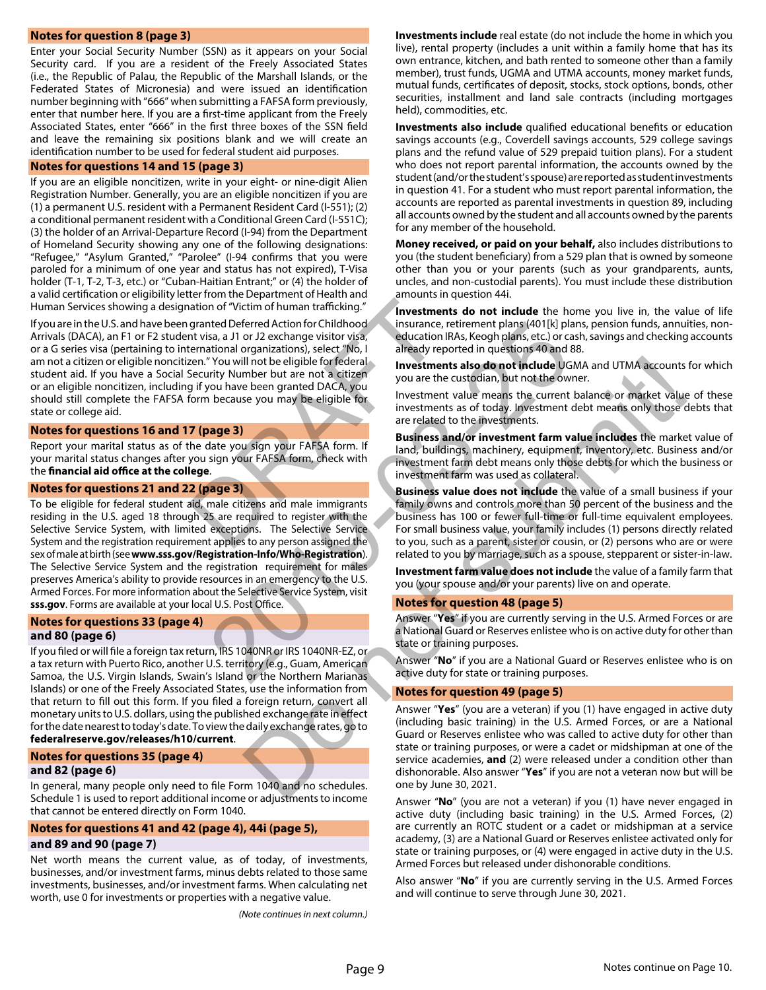### <span id="page-8-1"></span>**Notes for question [8](#page-2-4) (page 3)**

Enter your Social Security Number (SSN) as it appears on your Social Security card. If you are a resident of the Freely Associated States (i.e., the Republic of Palau, the Republic of the Marshall Islands, or the Federated States of Micronesia) and were issued an identification number beginning with "666" when submitting a FAFSA form previously, enter that number here. If you are a first-time applicant from the Freely Associated States, enter "666" in the first three boxes of the SSN field and leave the remaining six positions blank and we will create an identification number to be used for federal student aid purposes.

### **Notes for questions [14](#page-2-5) and [15](#page-2-1) (page 3)**

If you are an eligible noncitizen, write in your eight- or nine-digit Alien Registration Number. Generally, you are an eligible noncitizen if you are (1) a permanent U.S. resident with a Permanent Resident Card (I-551); (2) a conditional permanent resident with a Conditional Green Card (I-551C); (3) the holder of an Arrival-Departure Record (I-94) from the Department of Homeland Security showing any one of the following designations: "Refugee," "Asylum Granted," "Parolee" (I-94 confirms that you were paroled for a minimum of one year and status has not expired), T-Visa holder (T-1, T-2, T-3, etc.) or "Cuban-Haitian Entrant;" or (4) the holder of a valid certification or eligibility letter from the Department of Health and Human Services showing a designation of "Victim of human trafficking."

If you are in the U.S. and have been granted Deferred Action for Childhood Arrivals (DACA), an F1 or F2 student visa, a J1 or J2 exchange visitor visa, or a G series visa (pertaining to international organizations), select "No, I am not a citizen or eligible noncitizen." You will not be eligible for federal student aid. If you have a Social Security Number but are not a citizen or an eligible noncitizen, including if you have been granted DACA, you should still complete the FAFSA form because you may be eligible for state or college aid. antion of "Victim of human trafficking."<br>
granted Deferred Action for Childhood<br>
insurance, retirues of<br>
the visa, a J1 or J2 exchange visitor visa,<br>
elect "No, I already reporte<br>
security Number but are not a citizen<br>
sec

#### <span id="page-8-0"></span>**Notes for questions [16](#page-2-2) and [17](#page-2-6) (page 3)**

Report your marital status as of the date you sign your FAFSA form. If your marital status changes after you sign your FAFSA form, check with the **financial aid office at the college**.

#### <span id="page-8-2"></span>**Notes for questions [21](#page-2-7) and [22](#page-2-8) (page 3)**

To be eligible for federal student aid, male citizens and male immigrants residing in the U.S. aged 18 through 25 are required to register with the Selective Service System, with limited exceptions. The Selective Service System and the registration requirement applies to any person assigned the sex of male at birth (see **[www.sss.gov/Registration-Info/Who-Registration](https://www.sss.gov/Registration-Info/Who-Registration)**). The Selective Service System and the registration requirement for males preserves America's ability to provide resources in an emergency to the U.S. Armed Forces. For more information about the Selective Service System, visit **[sss.gov](https://sss.gov)**. Forms are available at your local U.S. Post Office. nted Deferred Action for Childhood<br>
isa, all or J2 exchange visitor visa,<br>
education RAs, Keogh plans, etc.) or cash, sa<br>
ational organizations), select "No, learedly reported in questions 40 and 88.<br>
"You will not be elig

# <span id="page-8-5"></span>**Notes for questions [33](#page-3-3) (page 4)**

#### <span id="page-8-9"></span>**and [80](#page-5-2) (page 6)**

If you filed or will file a foreign tax return, IRS 1040NR or IRS 1040NR-EZ, or a tax return with Puerto Rico, another U.S. territory (e.g., Guam, American Samoa, the U.S. Virgin Islands, Swain's Island or the Northern Marianas Islands) or one of the Freely Associated States, use the information from that return to fill out this form. If you filed a foreign return, convert all monetary units to U.S. dollars, using the published exchange rate in effect for the date nearest to today's date. To view the daily exchange rates, go to **[federalreserve.gov/releases/h10/current](https://federalreserve.gov/releases/h10/current)**.

# <span id="page-8-4"></span>**Notes for questions [35](#page-3-4) (page 4)**

#### <span id="page-8-8"></span>**and [82](#page-5-3) (page 6)**

In general, many people only need to file Form 1040 and no schedules. Schedule 1 is used to report additional income or adjustments to income that cannot be entered directly on Form 1040.

#### <span id="page-8-3"></span>**Notes for questions [41](#page-3-5) and [42 \(](#page-3-6)page 4), [44](#page-4-0)i (page 5),**

#### <span id="page-8-10"></span>**an[d 89 a](#page-6-1)nd [90 \(](#page-6-2)page 7)**

Net worth means the current value, as of today, of investments, businesses, and/or investment farms, minus debts related to those same investments, businesses, and/or investment farms. When calculating net worth, use 0 for investments or properties with a negative value.

*(Note continues in next column.)*

**Investments include** real estate (do not include the home in which you live), rental property (includes a unit within a family home that has its own entrance, kitchen, and bath rented to someone other than a family member), trust funds, UGMA and UTMA accounts, money market funds, mutual funds, certificates of deposit, stocks, stock options, bonds, other securities, installment and land sale contracts (including mortgages held), commodities, etc.

**Investments also include** qualified educational benefits or education savings accounts (e.g., Coverdell savings accounts, 529 college savings plans and the refund value of 529 prepaid tuition plans). For a student who does not report parental information, the accounts owned by the student (and/or the student's spouse) are reported as student investments in question 41. For a student who must report parental information, the accounts are reported as parental investments in question 89, including all accounts owned by the student and all accounts owned by the parents for any member of the household.

**Money received, or paid on your behalf,** also includes distributions to you (the student beneficiary) from a 529 plan that is owned by someone other than you or your parents (such as your grandparents, aunts, uncles, and non-custodial parents). You must include these distribution amounts in question 44i.

**Investments do not include** the home you live in, the value of life insurance, retirement plans (401[k] plans, pension funds, annuities, noneducation IRAs, Keogh plans, etc.) or cash, savings and checking accounts already reported in questions 40 and 88.

**Investments also do not include** UGMA and UTMA accounts for which you are the custodian, but not the owner.

Investment value means the current balance or market value of these investments as of today. Investment debt means only those debts that are related to the investments.

**Business and/or investment farm value includes** the market value of land, buildings, machinery, equipment, inventory, etc. Business and/or investment farm debt means only those debts for which the business or investment farm was used as collateral.

**Business value does not include** the value of a small business if your family owns and controls more than 50 percent of the business and the business has 100 or fewer full-time or full-time equivalent employees. For small business value, your family includes (1) persons directly related to you, such as a parent, sister or cousin, or (2) persons who are or were related to you by marriage, such as a spouse, stepparent or sister-in-law.

**Investment farm value does not include** the value of a family farm that you (your spouse and/or your parents) live on and operate.

#### <span id="page-8-6"></span>**Notes for question 48 (page 5)**

Answer "**Yes**" if you are currently serving in the U.S. Armed Forces or are a National Guard or Reserves enlistee who is on active duty for other than state or training purposes.

Answer "**No**" if you are a National Guard or Reserves enlistee who is on active duty for state or training purposes.

#### <span id="page-8-7"></span>**Notes for question 49 (page 5)**

Answer "**Yes**" (you are a veteran) if you (1) have engaged in active duty (including basic training) in the U.S. Armed Forces, or are a National Guard or Reserves enlistee who was called to active duty for other than state or training purposes, or were a cadet or midshipman at one of the service academies, **and** (2) were released under a condition other than dishonorable. Also answer "**Yes**" if you are not a veteran now but will be one by June 30, 2021. III not be eligible for Federal<br>
Simple for the digital for the custodian, but not the downtown the beam of a citize<br>
se you may be eligible for the custodian, but not the owner.<br>
Se you may be eligible for the town throw

Answer "**No**" (you are not a veteran) if you (1) have never engaged in active duty (including basic training) in the U.S. Armed Forces, (2) are currently an ROTC student or a cadet or midshipman at a service academy, (3) are a National Guard or Reserves enlistee activated only for state or training purposes, or (4) were engaged in active duty in the U.S. Armed Forces but released under dishonorable conditions.

Also answer "**No**" if you are currently serving in the U.S. Armed Forces and will continue to serve through June 30, 2021.